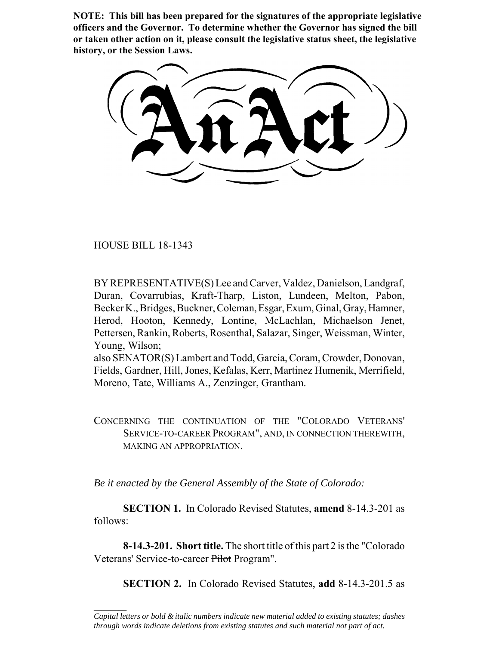**NOTE: This bill has been prepared for the signatures of the appropriate legislative officers and the Governor. To determine whether the Governor has signed the bill or taken other action on it, please consult the legislative status sheet, the legislative history, or the Session Laws.**

HOUSE BILL 18-1343

 $\frac{1}{2}$ 

BY REPRESENTATIVE(S) Lee and Carver, Valdez, Danielson, Landgraf, Duran, Covarrubias, Kraft-Tharp, Liston, Lundeen, Melton, Pabon, Becker K., Bridges, Buckner, Coleman, Esgar, Exum, Ginal, Gray, Hamner, Herod, Hooton, Kennedy, Lontine, McLachlan, Michaelson Jenet, Pettersen, Rankin, Roberts, Rosenthal, Salazar, Singer, Weissman, Winter, Young, Wilson;

also SENATOR(S) Lambert and Todd, Garcia, Coram, Crowder, Donovan, Fields, Gardner, Hill, Jones, Kefalas, Kerr, Martinez Humenik, Merrifield, Moreno, Tate, Williams A., Zenzinger, Grantham.

CONCERNING THE CONTINUATION OF THE "COLORADO VETERANS' SERVICE-TO-CAREER PROGRAM", AND, IN CONNECTION THEREWITH, MAKING AN APPROPRIATION.

*Be it enacted by the General Assembly of the State of Colorado:*

**SECTION 1.** In Colorado Revised Statutes, **amend** 8-14.3-201 as follows:

**8-14.3-201. Short title.** The short title of this part 2 is the "Colorado Veterans' Service-to-career Pilot Program".

**SECTION 2.** In Colorado Revised Statutes, **add** 8-14.3-201.5 as

*Capital letters or bold & italic numbers indicate new material added to existing statutes; dashes through words indicate deletions from existing statutes and such material not part of act.*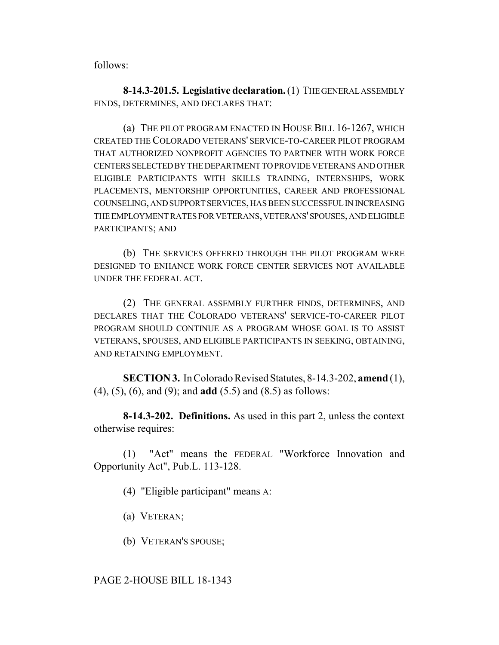follows:

**8-14.3-201.5. Legislative declaration.** (1) THE GENERAL ASSEMBLY FINDS, DETERMINES, AND DECLARES THAT:

(a) THE PILOT PROGRAM ENACTED IN HOUSE BILL 16-1267, WHICH CREATED THE COLORADO VETERANS' SERVICE-TO-CAREER PILOT PROGRAM THAT AUTHORIZED NONPROFIT AGENCIES TO PARTNER WITH WORK FORCE CENTERS SELECTED BY THE DEPARTMENT TO PROVIDE VETERANS AND OTHER ELIGIBLE PARTICIPANTS WITH SKILLS TRAINING, INTERNSHIPS, WORK PLACEMENTS, MENTORSHIP OPPORTUNITIES, CAREER AND PROFESSIONAL COUNSELING, AND SUPPORT SERVICES, HAS BEEN SUCCESSFUL IN INCREASING THE EMPLOYMENT RATES FOR VETERANS, VETERANS' SPOUSES, AND ELIGIBLE PARTICIPANTS; AND

(b) THE SERVICES OFFERED THROUGH THE PILOT PROGRAM WERE DESIGNED TO ENHANCE WORK FORCE CENTER SERVICES NOT AVAILABLE UNDER THE FEDERAL ACT.

(2) THE GENERAL ASSEMBLY FURTHER FINDS, DETERMINES, AND DECLARES THAT THE COLORADO VETERANS' SERVICE-TO-CAREER PILOT PROGRAM SHOULD CONTINUE AS A PROGRAM WHOSE GOAL IS TO ASSIST VETERANS, SPOUSES, AND ELIGIBLE PARTICIPANTS IN SEEKING, OBTAINING, AND RETAINING EMPLOYMENT.

**SECTION 3.** In Colorado Revised Statutes, 8-14.3-202, **amend** (1), (4), (5), (6), and (9); and **add** (5.5) and (8.5) as follows:

**8-14.3-202. Definitions.** As used in this part 2, unless the context otherwise requires:

(1) "Act" means the FEDERAL "Workforce Innovation and Opportunity Act", Pub.L. 113-128.

(4) "Eligible participant" means A:

(a) VETERAN;

(b) VETERAN'S SPOUSE;

PAGE 2-HOUSE BILL 18-1343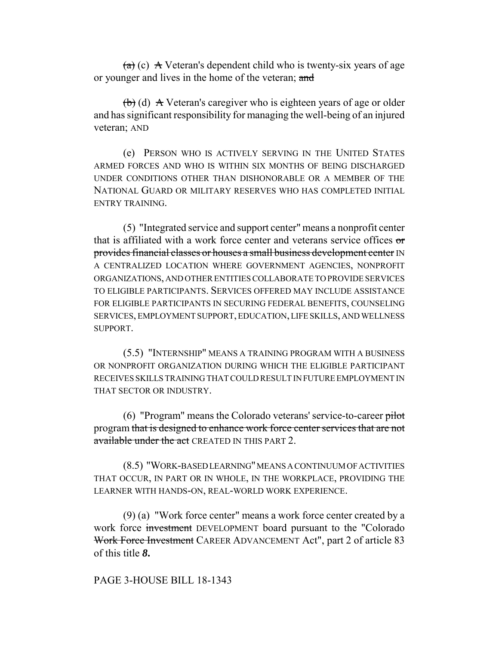$(a)$  (c) A Veteran's dependent child who is twenty-six years of age or younger and lives in the home of the veteran; and

 $\left(\frac{1}{b}\right)$  (d) A Veteran's caregiver who is eighteen years of age or older and has significant responsibility for managing the well-being of an injured veteran; AND

(e) PERSON WHO IS ACTIVELY SERVING IN THE UNITED STATES ARMED FORCES AND WHO IS WITHIN SIX MONTHS OF BEING DISCHARGED UNDER CONDITIONS OTHER THAN DISHONORABLE OR A MEMBER OF THE NATIONAL GUARD OR MILITARY RESERVES WHO HAS COMPLETED INITIAL ENTRY TRAINING.

(5) "Integrated service and support center" means a nonprofit center that is affiliated with a work force center and veterans service offices or provides financial classes or houses a small business development center IN A CENTRALIZED LOCATION WHERE GOVERNMENT AGENCIES, NONPROFIT ORGANIZATIONS, AND OTHER ENTITIES COLLABORATE TO PROVIDE SERVICES TO ELIGIBLE PARTICIPANTS. SERVICES OFFERED MAY INCLUDE ASSISTANCE FOR ELIGIBLE PARTICIPANTS IN SECURING FEDERAL BENEFITS, COUNSELING SERVICES, EMPLOYMENT SUPPORT, EDUCATION, LIFE SKILLS, AND WELLNESS SUPPORT.

(5.5) "INTERNSHIP" MEANS A TRAINING PROGRAM WITH A BUSINESS OR NONPROFIT ORGANIZATION DURING WHICH THE ELIGIBLE PARTICIPANT RECEIVES SKILLS TRAINING THAT COULD RESULT IN FUTURE EMPLOYMENT IN THAT SECTOR OR INDUSTRY.

(6) "Program" means the Colorado veterans' service-to-career pilot program that is designed to enhance work force center services that are not available under the act CREATED IN THIS PART 2.

(8.5) "WORK-BASED LEARNING" MEANS A CONTINUUM OF ACTIVITIES THAT OCCUR, IN PART OR IN WHOLE, IN THE WORKPLACE, PROVIDING THE LEARNER WITH HANDS-ON, REAL-WORLD WORK EXPERIENCE.

(9) (a) "Work force center" means a work force center created by a work force investment DEVELOPMENT board pursuant to the "Colorado Work Force Investment CAREER ADVANCEMENT Act", part 2 of article 83 of this title *8***.**

## PAGE 3-HOUSE BILL 18-1343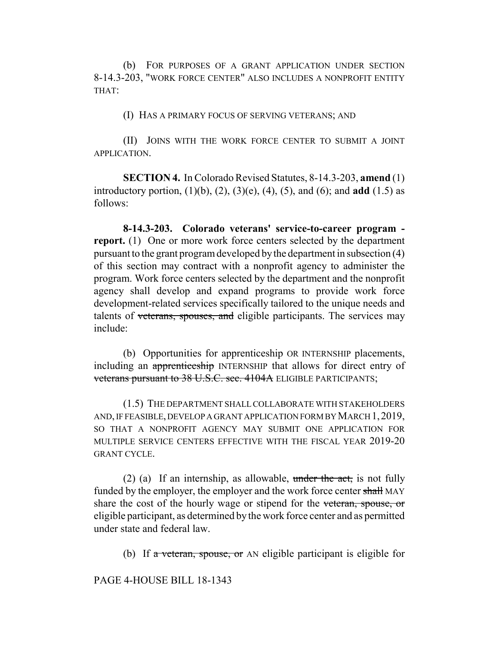(b) FOR PURPOSES OF A GRANT APPLICATION UNDER SECTION 8-14.3-203, "WORK FORCE CENTER" ALSO INCLUDES A NONPROFIT ENTITY THAT:

(I) HAS A PRIMARY FOCUS OF SERVING VETERANS; AND

(II) JOINS WITH THE WORK FORCE CENTER TO SUBMIT A JOINT APPLICATION.

**SECTION 4.** In Colorado Revised Statutes, 8-14.3-203, **amend** (1) introductory portion, (1)(b), (2), (3)(e), (4), (5), and (6); and **add** (1.5) as follows:

**8-14.3-203. Colorado veterans' service-to-career program report.** (1) One or more work force centers selected by the department pursuant to the grant program developed by the department in subsection (4) of this section may contract with a nonprofit agency to administer the program. Work force centers selected by the department and the nonprofit agency shall develop and expand programs to provide work force development-related services specifically tailored to the unique needs and talents of veterans, spouses, and eligible participants. The services may include:

(b) Opportunities for apprenticeship OR INTERNSHIP placements, including an apprenticeship INTERNSHIP that allows for direct entry of veterans pursuant to 38 U.S.C. sec. 4104A ELIGIBLE PARTICIPANTS;

(1.5) THE DEPARTMENT SHALL COLLABORATE WITH STAKEHOLDERS AND, IF FEASIBLE, DEVELOP A GRANT APPLICATION FORM BY MARCH 1,2019, SO THAT A NONPROFIT AGENCY MAY SUBMIT ONE APPLICATION FOR MULTIPLE SERVICE CENTERS EFFECTIVE WITH THE FISCAL YEAR 2019-20 GRANT CYCLE.

(2) (a) If an internship, as allowable, under the act, is not fully funded by the employer, the employer and the work force center shall MAY share the cost of the hourly wage or stipend for the veteran, spouse, or eligible participant, as determined by the work force center and as permitted under state and federal law.

(b) If a veteran, spouse, or AN eligible participant is eligible for

PAGE 4-HOUSE BILL 18-1343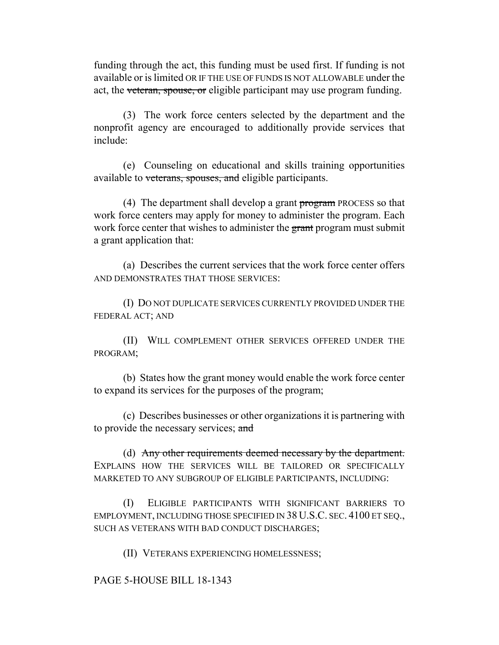funding through the act, this funding must be used first. If funding is not available or is limited OR IF THE USE OF FUNDS IS NOT ALLOWABLE under the act, the veteran, spouse, or eligible participant may use program funding.

(3) The work force centers selected by the department and the nonprofit agency are encouraged to additionally provide services that include:

(e) Counseling on educational and skills training opportunities available to veterans, spouses, and eligible participants.

(4) The department shall develop a grant program PROCESS so that work force centers may apply for money to administer the program. Each work force center that wishes to administer the grant program must submit a grant application that:

(a) Describes the current services that the work force center offers AND DEMONSTRATES THAT THOSE SERVICES:

(I) DO NOT DUPLICATE SERVICES CURRENTLY PROVIDED UNDER THE FEDERAL ACT; AND

(II) WILL COMPLEMENT OTHER SERVICES OFFERED UNDER THE PROGRAM;

(b) States how the grant money would enable the work force center to expand its services for the purposes of the program;

(c) Describes businesses or other organizations it is partnering with to provide the necessary services; and

(d) Any other requirements deemed necessary by the department. EXPLAINS HOW THE SERVICES WILL BE TAILORED OR SPECIFICALLY MARKETED TO ANY SUBGROUP OF ELIGIBLE PARTICIPANTS, INCLUDING:

(I) ELIGIBLE PARTICIPANTS WITH SIGNIFICANT BARRIERS TO EMPLOYMENT, INCLUDING THOSE SPECIFIED IN 38 U.S.C. SEC. 4100 ET SEQ., SUCH AS VETERANS WITH BAD CONDUCT DISCHARGES;

(II) VETERANS EXPERIENCING HOMELESSNESS;

PAGE 5-HOUSE BILL 18-1343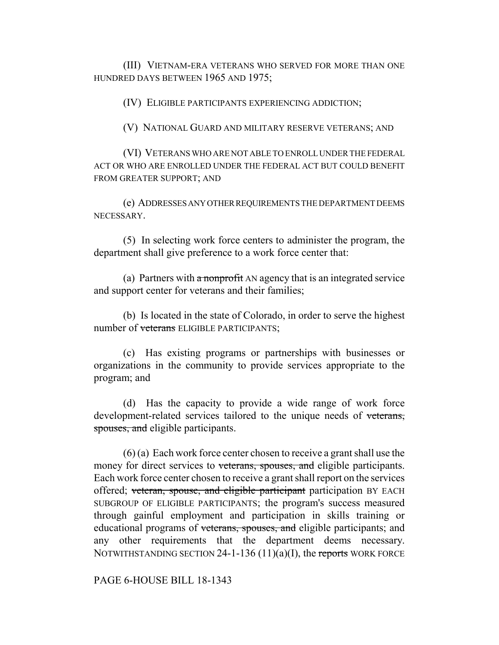(III) VIETNAM-ERA VETERANS WHO SERVED FOR MORE THAN ONE HUNDRED DAYS BETWEEN 1965 AND 1975;

(IV) ELIGIBLE PARTICIPANTS EXPERIENCING ADDICTION;

(V) NATIONAL GUARD AND MILITARY RESERVE VETERANS; AND

(VI) VETERANS WHO ARE NOT ABLE TO ENROLL UNDER THE FEDERAL ACT OR WHO ARE ENROLLED UNDER THE FEDERAL ACT BUT COULD BENEFIT FROM GREATER SUPPORT; AND

(e) ADDRESSES ANY OTHER REQUIREMENTS THE DEPARTMENT DEEMS NECESSARY.

(5) In selecting work force centers to administer the program, the department shall give preference to a work force center that:

(a) Partners with  $\alpha$  nonprofit AN agency that is an integrated service and support center for veterans and their families;

(b) Is located in the state of Colorado, in order to serve the highest number of veterans ELIGIBLE PARTICIPANTS:

(c) Has existing programs or partnerships with businesses or organizations in the community to provide services appropriate to the program; and

(d) Has the capacity to provide a wide range of work force development-related services tailored to the unique needs of veterans, spouses, and eligible participants.

(6) (a) Each work force center chosen to receive a grant shall use the money for direct services to veterans, spouses, and eligible participants. Each work force center chosen to receive a grant shall report on the services offered; veteran, spouse, and eligible participant participation BY EACH SUBGROUP OF ELIGIBLE PARTICIPANTS; the program's success measured through gainful employment and participation in skills training or educational programs of veterans, spouses, and eligible participants; and any other requirements that the department deems necessary. NOTWITHSTANDING SECTION 24-1-136  $(11)(a)(I)$ , the reports WORK FORCE

PAGE 6-HOUSE BILL 18-1343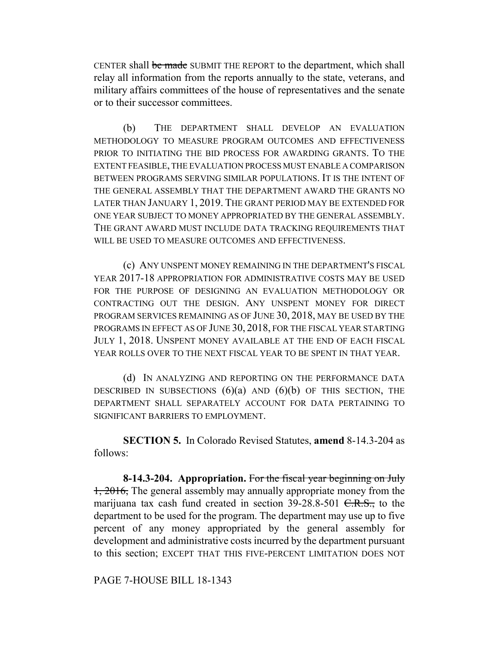CENTER shall be made SUBMIT THE REPORT to the department, which shall relay all information from the reports annually to the state, veterans, and military affairs committees of the house of representatives and the senate or to their successor committees.

(b) THE DEPARTMENT SHALL DEVELOP AN EVALUATION METHODOLOGY TO MEASURE PROGRAM OUTCOMES AND EFFECTIVENESS PRIOR TO INITIATING THE BID PROCESS FOR AWARDING GRANTS. TO THE EXTENT FEASIBLE, THE EVALUATION PROCESS MUST ENABLE A COMPARISON BETWEEN PROGRAMS SERVING SIMILAR POPULATIONS. IT IS THE INTENT OF THE GENERAL ASSEMBLY THAT THE DEPARTMENT AWARD THE GRANTS NO LATER THAN JANUARY 1, 2019. THE GRANT PERIOD MAY BE EXTENDED FOR ONE YEAR SUBJECT TO MONEY APPROPRIATED BY THE GENERAL ASSEMBLY. THE GRANT AWARD MUST INCLUDE DATA TRACKING REQUIREMENTS THAT WILL BE USED TO MEASURE OUTCOMES AND EFFECTIVENESS.

(c) ANY UNSPENT MONEY REMAINING IN THE DEPARTMENT'S FISCAL YEAR 2017-18 APPROPRIATION FOR ADMINISTRATIVE COSTS MAY BE USED FOR THE PURPOSE OF DESIGNING AN EVALUATION METHODOLOGY OR CONTRACTING OUT THE DESIGN. ANY UNSPENT MONEY FOR DIRECT PROGRAM SERVICES REMAINING AS OF JUNE 30, 2018, MAY BE USED BY THE PROGRAMS IN EFFECT AS OF JUNE 30, 2018, FOR THE FISCAL YEAR STARTING JULY 1, 2018. UNSPENT MONEY AVAILABLE AT THE END OF EACH FISCAL YEAR ROLLS OVER TO THE NEXT FISCAL YEAR TO BE SPENT IN THAT YEAR.

(d) IN ANALYZING AND REPORTING ON THE PERFORMANCE DATA DESCRIBED IN SUBSECTIONS  $(6)(a)$  AND  $(6)(b)$  OF THIS SECTION, THE DEPARTMENT SHALL SEPARATELY ACCOUNT FOR DATA PERTAINING TO SIGNIFICANT BARRIERS TO EMPLOYMENT.

**SECTION 5.** In Colorado Revised Statutes, **amend** 8-14.3-204 as follows:

**8-14.3-204. Appropriation.** For the fiscal year beginning on July 1, 2016, The general assembly may annually appropriate money from the marijuana tax cash fund created in section  $39-28.8-501$  C.R.S., to the department to be used for the program. The department may use up to five percent of any money appropriated by the general assembly for development and administrative costs incurred by the department pursuant to this section; EXCEPT THAT THIS FIVE-PERCENT LIMITATION DOES NOT

## PAGE 7-HOUSE BILL 18-1343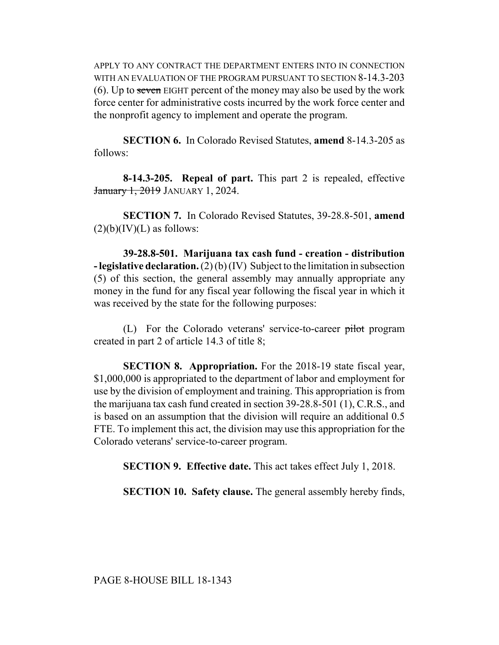APPLY TO ANY CONTRACT THE DEPARTMENT ENTERS INTO IN CONNECTION WITH AN EVALUATION OF THE PROGRAM PURSUANT TO SECTION 8-14.3-203 (6). Up to seven EIGHT percent of the money may also be used by the work force center for administrative costs incurred by the work force center and the nonprofit agency to implement and operate the program.

**SECTION 6.** In Colorado Revised Statutes, **amend** 8-14.3-205 as follows:

**8-14.3-205. Repeal of part.** This part 2 is repealed, effective January 1, 2019 JANUARY 1, 2024.

**SECTION 7.** In Colorado Revised Statutes, 39-28.8-501, **amend**  $(2)(b)(IV)(L)$  as follows:

**39-28.8-501. Marijuana tax cash fund - creation - distribution - legislative declaration.** (2) (b) (IV) Subject to the limitation in subsection (5) of this section, the general assembly may annually appropriate any money in the fund for any fiscal year following the fiscal year in which it was received by the state for the following purposes:

(L) For the Colorado veterans' service-to-career pilot program created in part 2 of article 14.3 of title 8;

**SECTION 8. Appropriation.** For the 2018-19 state fiscal year, \$1,000,000 is appropriated to the department of labor and employment for use by the division of employment and training. This appropriation is from the marijuana tax cash fund created in section 39-28.8-501 (1), C.R.S., and is based on an assumption that the division will require an additional 0.5 FTE. To implement this act, the division may use this appropriation for the Colorado veterans' service-to-career program.

**SECTION 9. Effective date.** This act takes effect July 1, 2018.

**SECTION 10. Safety clause.** The general assembly hereby finds,